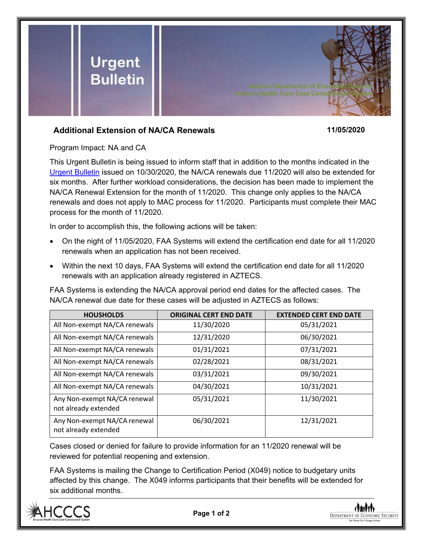

## **Additional Extension of NA/CA Renewals 11/05/2020**

Program Impact: NA and CA

This Urgent Bulletin is being issued to inform staff that in addition to the months indicated in the [Urgent Bulletin](https://dbmefaapolicy.azdes.gov/FAA1/baggage/Urgent%20Bulletin%20(10-30-2020)%20-%20Extension%20of%20Renewals%20and%20Mid%20Approval%20Contacts.pdf) issued on 10/30/2020, the NA/CA renewals due 11/2020 will also be extended for six months. After further workload considerations, the decision has been made to implement the NA/CA Renewal Extension for the month of 11/2020. This change only applies to the NA/CA renewals and does not apply to MAC process for 11/2020. Participants must complete their MAC process for the month of 11/2020.

In order to accomplish this, the following actions will be taken:

- On the night of 11/05/2020, FAA Systems will extend the certification end date for all 11/2020 renewals when an application has not been received.
- Within the next 10 days, FAA Systems will extend the certification end date for all 11/2020 renewals with an application already registered in AZTECS.

FAA Systems is extending the NA/CA approval period end dates for the affected cases. The NA/CA renewal due date for these cases will be adjusted in AZTECS as follows:

| <b>HOUSHOLDS</b>                                     | <b>ORIGINAL CERT END DATE</b> | <b>EXTENDED CERT END DATE</b> |
|------------------------------------------------------|-------------------------------|-------------------------------|
| All Non-exempt NA/CA renewals                        | 11/30/2020                    | 05/31/2021                    |
| All Non-exempt NA/CA renewals                        | 12/31/2020                    | 06/30/2021                    |
| All Non-exempt NA/CA renewals                        | 01/31/2021                    | 07/31/2021                    |
| All Non-exempt NA/CA renewals                        | 02/28/2021                    | 08/31/2021                    |
| All Non-exempt NA/CA renewals                        | 03/31/2021                    | 09/30/2021                    |
| All Non-exempt NA/CA renewals                        | 04/30/2021                    | 10/31/2021                    |
| Any Non-exempt NA/CA renewal<br>not already extended | 05/31/2021                    | 11/30/2021                    |
| Any Non-exempt NA/CA renewal<br>not already extended | 06/30/2021                    | 12/31/2021                    |

Cases closed or denied for failure to provide information for an 11/2020 renewal will be reviewed for potential reopening and extension.

FAA Systems is mailing the Change to Certification Period (X049) notice to budgetary units affected by this change. The X049 informs participants that their benefits will be extended for six additional months.



**Page 1 of 2**